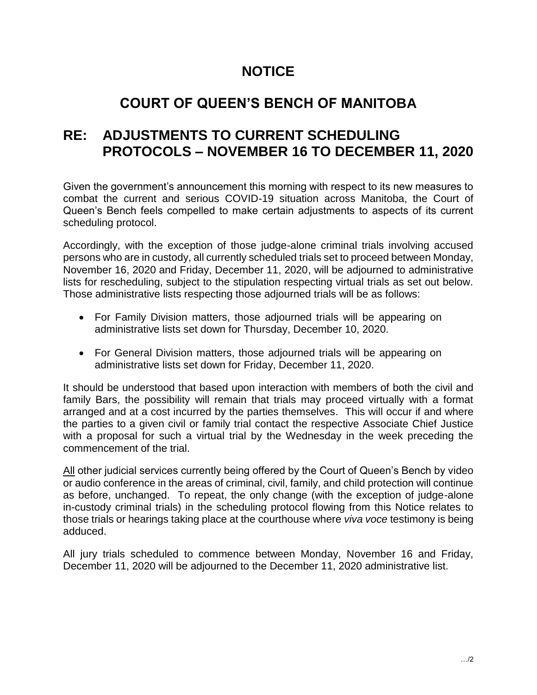## **NOTICE**

## **COURT OF QUEEN'S BENCH OF MANITOBA**

## **RE: ADJUSTMENTS TO CURRENT SCHEDULING PROTOCOLS – NOVEMBER 16 TO DECEMBER 11, 2020**

Given the government's announcement this morning with respect to its new measures to combat the current and serious COVID-19 situation across Manitoba, the Court of Queen's Bench feels compelled to make certain adjustments to aspects of its current scheduling protocol.

Accordingly, with the exception of those judge-alone criminal trials involving accused persons who are in custody, all currently scheduled trials set to proceed between Monday, November 16, 2020 and Friday, December 11, 2020, will be adjourned to administrative lists for rescheduling, subject to the stipulation respecting virtual trials as set out below. Those administrative lists respecting those adjourned trials will be as follows:

- For Family Division matters, those adjourned trials will be appearing on administrative lists set down for Thursday, December 10, 2020.
- For General Division matters, those adjourned trials will be appearing on administrative lists set down for Friday, December 11, 2020.

It should be understood that based upon interaction with members of both the civil and family Bars, the possibility will remain that trials may proceed virtually with a format arranged and at a cost incurred by the parties themselves. This will occur if and where the parties to a given civil or family trial contact the respective Associate Chief Justice with a proposal for such a virtual trial by the Wednesday in the week preceding the commencement of the trial.

All other judicial services currently being offered by the Court of Queen's Bench by video or audio conference in the areas of criminal, civil, family, and child protection will continue as before, unchanged. To repeat, the only change (with the exception of judge-alone in-custody criminal trials) in the scheduling protocol flowing from this Notice relates to those trials or hearings taking place at the courthouse where *viva voce* testimony is being adduced.

All jury trials scheduled to commence between Monday, November 16 and Friday, December 11, 2020 will be adjourned to the December 11, 2020 administrative list.